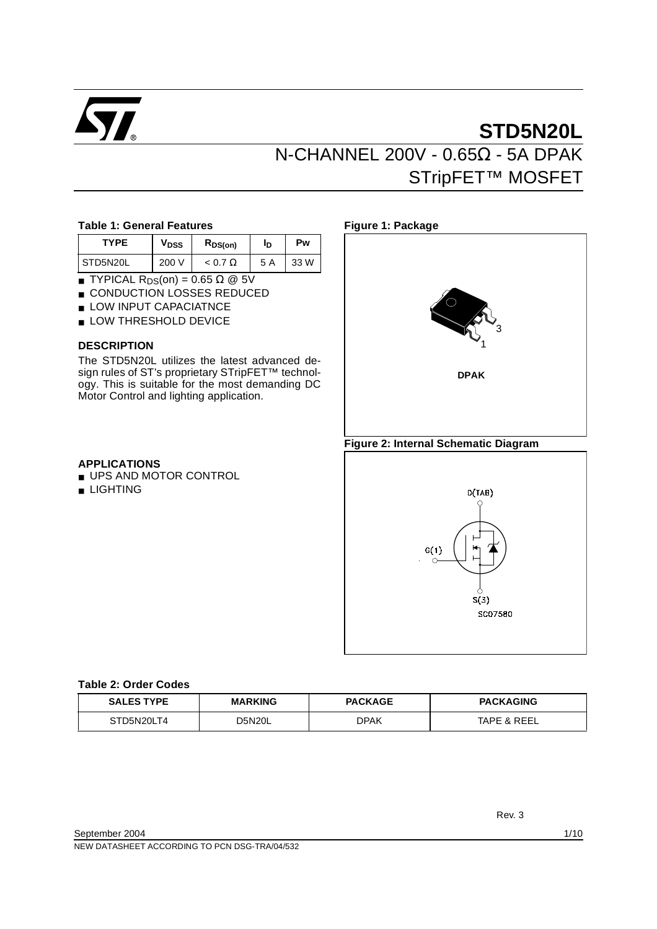

# **STD5N20L** N-CHANNEL 200V - 0.65Ω - 5A DPAK STripFET™ MOSFET

#### **Table 1: General Features**

| <b>TYPF</b> | V <sub>DSS</sub> | R <sub>DS(on)</sub> |     | Pw   |  |
|-------------|------------------|---------------------|-----|------|--|
| STD5N20L    | 200 V            | $< 0.7 \Omega$      | 5 A | 33 W |  |

- **TYPICAL R**<sub>DS</sub>(on) =  $0.65 \Omega \text{ } \textcircled{2} 5V$
- CONDUCTION LOSSES REDUCED
- LOW INPUT CAPACIATNCE
- LOW THRESHOLD DEVICE

#### **DESCRIPTION**

The STD5N20L utilizes the latest advanced design rules of ST's proprietary STripFET<sup>™</sup> technology. This is suitable for the most demanding DC Motor Control and lighting application.

#### **APPLICATIONS**

- UPS AND MOTOR CONTROL
- LIGHTING



#### **Figure 2: Internal Schematic Diagram**



#### **Table 2: Order Codes**

| <b>SALES TYPE</b> | <b>MARKING</b> | <b>PACKAGE</b> | <b>PACKAGING</b>       |  |
|-------------------|----------------|----------------|------------------------|--|
| STD5N20LT4        | <b>D5N20L</b>  |                | <b>TAPE &amp; REEL</b> |  |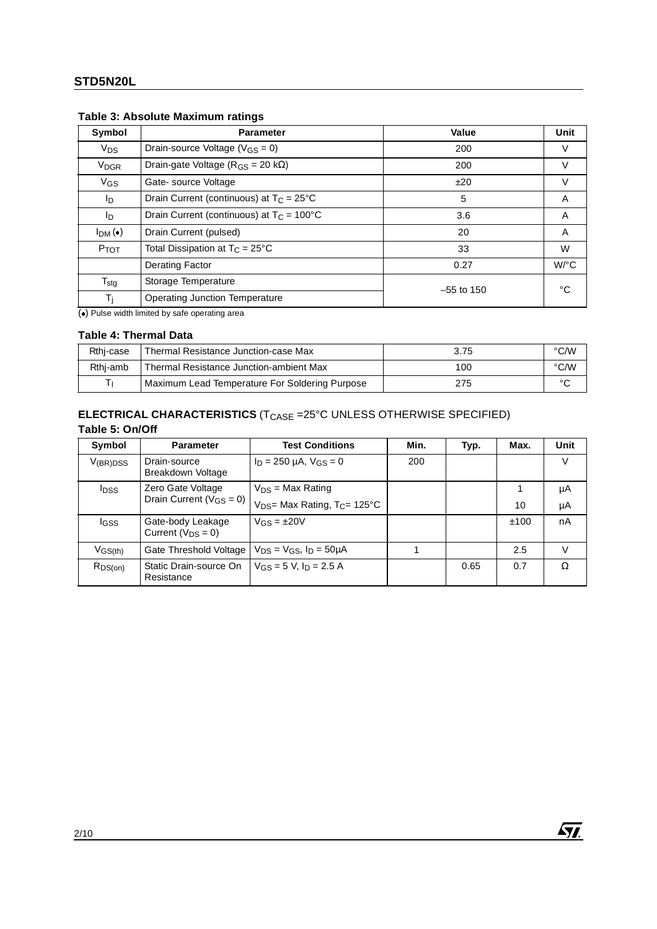| Symbol                 | <b>Parameter</b>                                   | Value        | Unit               |  |
|------------------------|----------------------------------------------------|--------------|--------------------|--|
| <b>V<sub>DS</sub></b>  | Drain-source Voltage ( $V_{GS} = 0$ )              | 200          | V                  |  |
| <b>V<sub>DGR</sub></b> | Drain-gate Voltage ( $R_{GS}$ = 20 k $\Omega$ )    | 200          | V                  |  |
| VGS                    | Gate-source Voltage                                | ±20          | V                  |  |
| l <sub>D</sub>         | Drain Current (continuous) at $T_C = 25^{\circ}C$  | 5            | A                  |  |
| l <sub>D</sub>         | Drain Current (continuous) at $T_C = 100^{\circ}C$ | 3.6          | A                  |  |
| I <sub>DM</sub> (•)    | Drain Current (pulsed)                             | 20           | A                  |  |
| PTOT                   | Total Dissipation at $T_C = 25^{\circ}C$           | 33           | W                  |  |
|                        | <b>Derating Factor</b>                             | 0.27         | $W$ <sup>o</sup> C |  |
| $T_{\text{stg}}$       | Storage Temperature                                | $-55$ to 150 | °C                 |  |
| Тì                     | <b>Operating Junction Temperature</b>              |              |                    |  |

## **Table 3: Absolute Maximum ratings**

 $\overline{(\bullet)}$  Pulse width limited by safe operating area

#### **Table 4: Thermal Data**

| Rthi-case | Thermal Resistance Junction-case Max           | 3.75 | °C/W   |
|-----------|------------------------------------------------|------|--------|
| Rthj-amb  | Thermal Resistance Junction-ambient Max        | 100  | °C/W   |
|           | Maximum Lead Temperature For Soldering Purpose | 275  | $\sim$ |

## **ELECTRICAL CHARACTERISTICS** (T<sub>CASE</sub> =25°C UNLESS OTHERWISE SPECIFIED) **Table 5: On/Off**

| Symbol                  | <b>Parameter</b>                              | <b>Test Conditions</b>                      | Min. | Typ. | Max. | Unit |
|-------------------------|-----------------------------------------------|---------------------------------------------|------|------|------|------|
| $V_{(BR)DSS}$           | Drain-source<br>Breakdown Voltage             | $I_D = 250 \mu A$ , $V_{GS} = 0$            | 200  |      |      | V    |
| <b>I</b> <sub>DSS</sub> | Zero Gate Voltage                             | $V_{DS}$ = Max Rating                       |      |      |      | μA   |
|                         | Drain Current ( $V_{GS} = 0$ )                | $V_{DS}$ Max Rating, T <sub>C</sub> = 125°C |      |      | 10   | μA   |
| <b>I</b> GSS            | Gate-body Leakage<br>Current ( $V_{DS} = 0$ ) | $V_{GS} = \pm 20V$                          |      |      | ±100 | nA   |
| $V_{GS(th)}$            | Gate Threshold Voltage                        | $V_{DS} = V_{GS}$ , $I_D = 50 \mu A$        |      |      | 2.5  | V    |
| $R_{DS(on)}$            | Static Drain-source On<br>Resistance          | $V_{GS} = 5$ V, $I_D = 2.5$ A               |      | 0.65 | 0.7  | Ω    |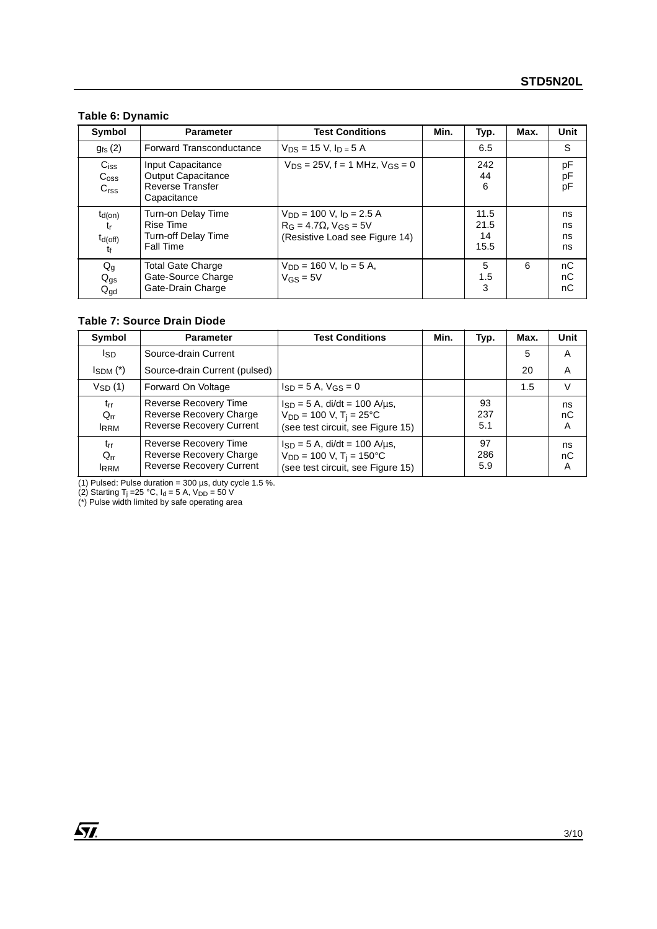## **Table 6: Dynamic**

| Symbol                                            | <b>Test Conditions</b><br><b>Parameter</b>                                        |                                                                                                        | Min. | Typ.                       | Max. | Unit                 |
|---------------------------------------------------|-----------------------------------------------------------------------------------|--------------------------------------------------------------------------------------------------------|------|----------------------------|------|----------------------|
| $g_{fs}$ $(2)$                                    | <b>Forward Transconductance</b>                                                   | $V_{DS}$ = 15 V, $I_{D}$ = 5 A                                                                         |      | 6.5                        |      | S                    |
| $C_{iss}$<br>C <sub>oss</sub><br>C <sub>rss</sub> | Input Capacitance<br>Output Capacitance<br><b>Reverse Transfer</b><br>Capacitance | $V_{DS} = 25V$ , f = 1 MHz, $V_{GS} = 0$                                                               |      | 242<br>44<br>6             |      | pF<br>pF<br>pF       |
| $t_{d(on)}$<br>$t_{r}$<br>$t_{d(off)}$<br>tŧ      | Turn-on Delay Time<br>Rise Time<br>Turn-off Delay Time<br><b>Fall Time</b>        | $V_{DD}$ = 100 V, $I_D$ = 2.5 A<br>$R_G = 4.7\Omega$ , $V_{GS} = 5V$<br>(Resistive Load see Figure 14) |      | 11.5<br>21.5<br>14<br>15.5 |      | ns<br>ns<br>ns<br>ns |
| $Q_g$<br>$Q_{gs}$<br>$Q_{\text{gd}}$              | <b>Total Gate Charge</b><br>Gate-Source Charge<br>Gate-Drain Charge               | $V_{DD} = 160$ V, $I_D = 5$ A,<br>$V$ GS = 5 $V$                                                       |      | 5<br>1.5<br>3              | 6    | nC<br>nC<br>nC       |

## **Table 7: Source Drain Diode**

| Symbol                              | <b>Test Conditions</b><br><b>Parameter</b>                                          |                                                                                                                     | Min. | Typ.             | Max. | Unit          |
|-------------------------------------|-------------------------------------------------------------------------------------|---------------------------------------------------------------------------------------------------------------------|------|------------------|------|---------------|
| l <sub>SD</sub>                     | Source-drain Current                                                                |                                                                                                                     |      |                  | 5    | A             |
| $I_{SDM}$ $(*)$                     | Source-drain Current (pulsed)                                                       |                                                                                                                     |      |                  | 20   | A             |
| $V_{SD}(1)$                         | Forward On Voltage                                                                  | $I_{SD} = 5$ A, $V_{GS} = 0$                                                                                        |      |                  | 1.5  | V             |
| $t_{rr}$<br>$Q_{rr}$<br><b>IRRM</b> | Reverse Recovery Time<br>Reverse Recovery Charge<br><b>Reverse Recovery Current</b> | $I_{SD} = 5$ A, di/dt = 100 A/us,<br>$V_{DD} = 100 V, T_i = 25°C$<br>(see test circuit, see Figure 15)              |      | 93<br>237<br>5.1 |      | ns<br>nC<br>A |
| $t_{rr}$<br>$Q_{rr}$<br><b>IRRM</b> | Reverse Recovery Time<br>Reverse Recovery Charge<br><b>Reverse Recovery Current</b> | $I_{SD} = 5$ A, di/dt = 100 A/µs,<br>$V_{DD}$ = 100 V, T <sub>i</sub> = 150 °C<br>(see test circuit, see Figure 15) |      | 97<br>286<br>5.9 |      | ns<br>nC<br>A |

(1) Pulsed: Pulse duration =  $300 \mu s$ , duty cycle 1.5 %.

(2) Starting T<sub>j</sub> =25 °C, I<sub>d</sub> = 5 A, V<sub>DD</sub> = 50 V<br>(\*) Pulse width limited by safe operating area

 $\sqrt{M}$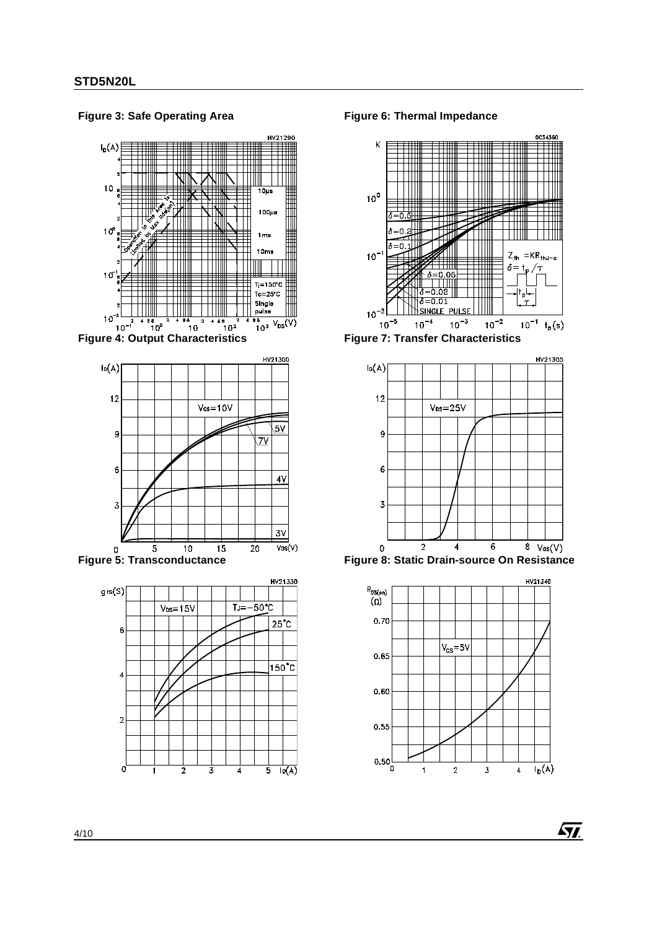HV21290  $I_D(A)$ 10  $\frac{10}{10}$  $100\mu s$  $10<sup>o</sup>$  $1<sub>ms</sub>$  $10ms$ ┼┼┼╫ Ш  $10<sup>7</sup>$  $Tj = 150^{\circ}C$  $Tc = 25°C$ Single pulse  $10^{-2}$  $\frac{10^{3} \text{ V}_{DS}(V)}{10^{3} \text{ V}_{DS}(V)}$ ів<br>10<sup>0</sup>  $10^{-1}$  $10$  $10<sup>2</sup>$ 



**Figure 3: Safe Operating Area**





**Figure 6: Thermal Impedance**



**Figure 7: Transfer Characteristics**



**Figure 8: Static Drain-source On Resistance**



**Ayj**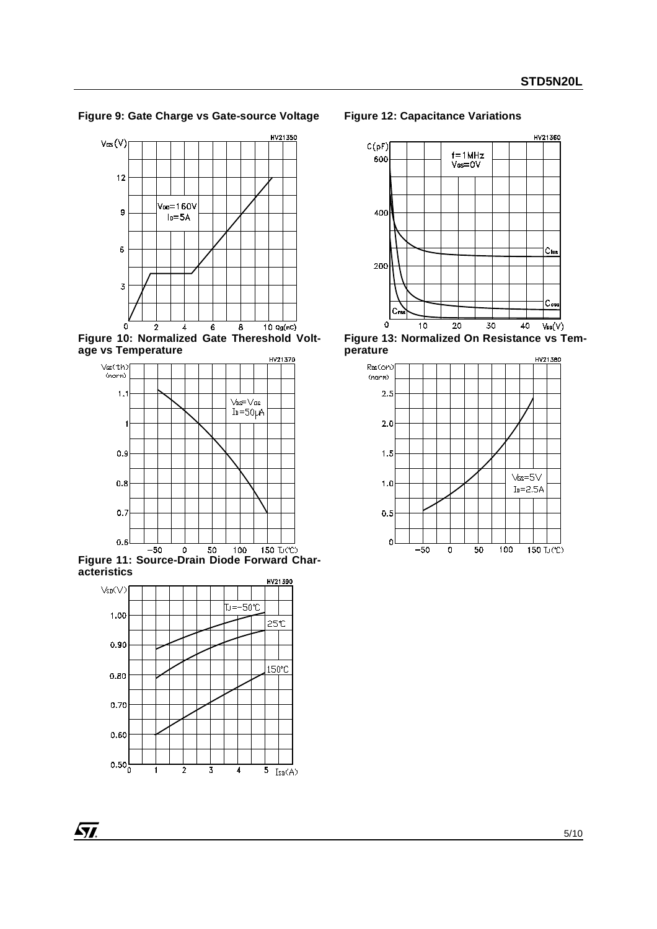**Figure 9: Gate Charge vs Gate-source Voltage**



**Figure 10: Normalized Gate Thereshold Voltage vs Temperature**



**Figure 11: Source-Drain Diode Forward Characteristics**



#### **Figure 12: Capacitance Variations**



**Figure 13: Normalized On Resistance vs Temperature**

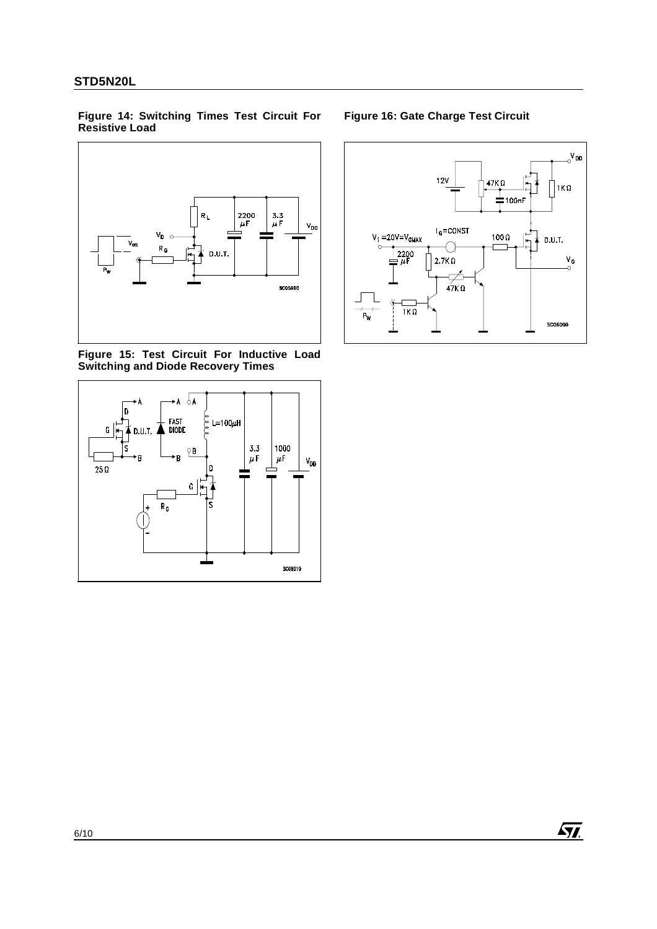#### <span id="page-5-0"></span>**Figure 14: Switching Times Test Circuit For Resistive Load**



<span id="page-5-1"></span>**Figure 15: Test Circuit For Inductive Load Switching and Diode Recovery Times** 



**Figure 16: Gate Charge Test Circuit** 

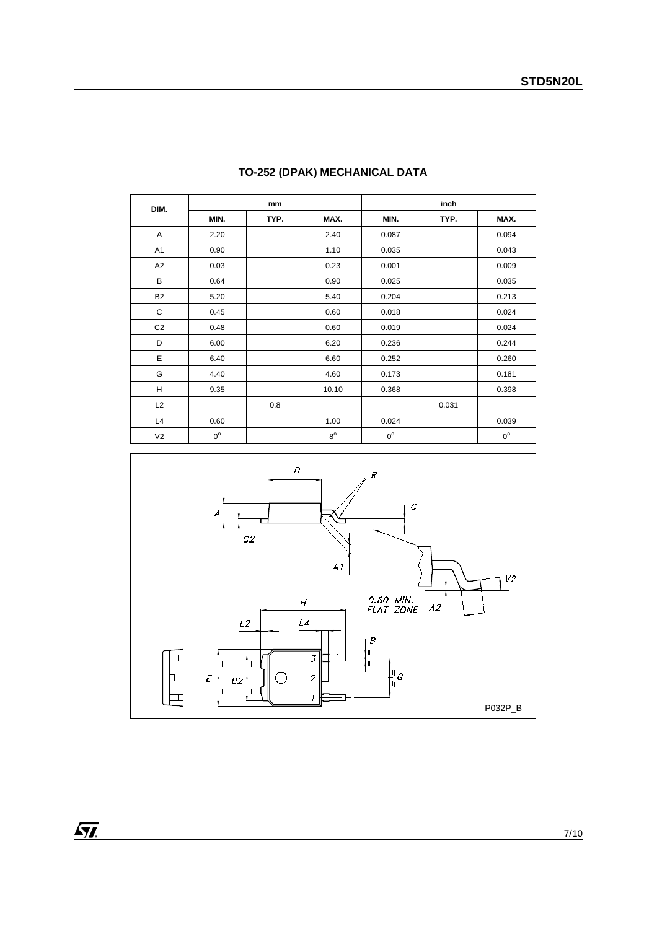|                | DIM.        |      | mm          |             | inch  |             |  |
|----------------|-------------|------|-------------|-------------|-------|-------------|--|
|                | MIN.        | TYP. | MAX.        | MIN.        | TYP.  | MAX.        |  |
| Α              | 2.20        |      | 2.40        | 0.087       |       | 0.094       |  |
| A <sub>1</sub> | 0.90        |      | 1.10        | 0.035       |       | 0.043       |  |
| A <sub>2</sub> | 0.03        |      | 0.23        | 0.001       |       | 0.009       |  |
| B              | 0.64        |      | 0.90        | 0.025       |       | 0.035       |  |
| <b>B2</b>      | 5.20        |      | 5.40        | 0.204       |       | 0.213       |  |
| C              | 0.45        |      | 0.60        | 0.018       |       | 0.024       |  |
| C <sub>2</sub> | 0.48        |      | 0.60        | 0.019       |       | 0.024       |  |
| D              | 6.00        |      | 6.20        | 0.236       |       | 0.244       |  |
| Ε              | 6.40        |      | 6.60        | 0.252       |       | 0.260       |  |
| G              | 4.40        |      | 4.60        | 0.173       |       | 0.181       |  |
| Н              | 9.35        |      | 10.10       | 0.368       |       | 0.398       |  |
| L2             |             | 0.8  |             |             | 0.031 |             |  |
| L4             | 0.60        |      | 1.00        | 0.024       |       | 0.039       |  |
| V <sub>2</sub> | $0^{\circ}$ |      | $8^{\circ}$ | $0^{\circ}$ |       | $0^{\circ}$ |  |

## **TO-252 (DPAK) MECHANICAL DATA**



 $\sqrt{M}$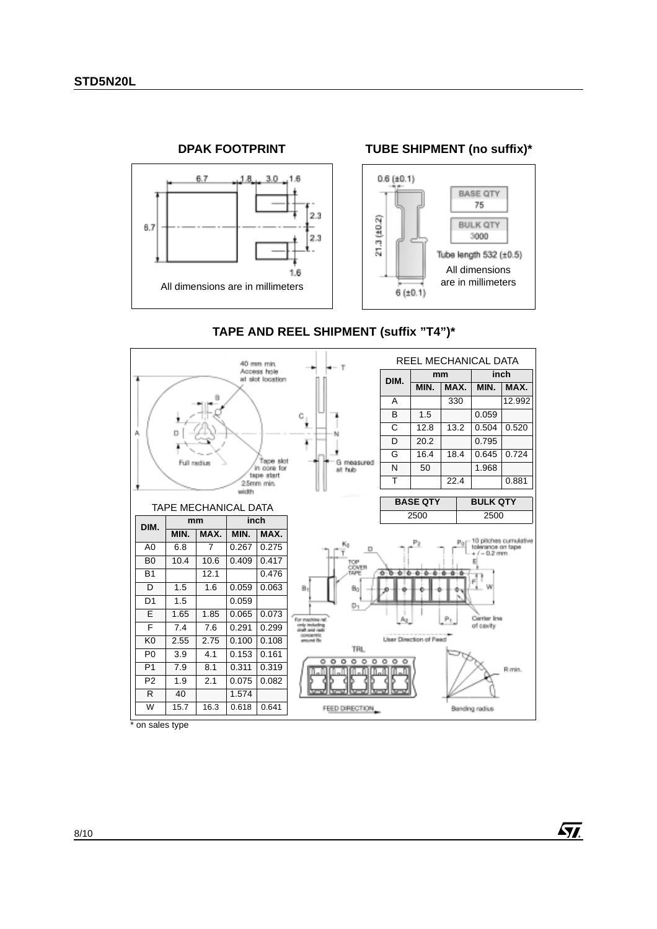

# **TAPE AND REEL SHIPMENT (suffix "T4")\***



on sales type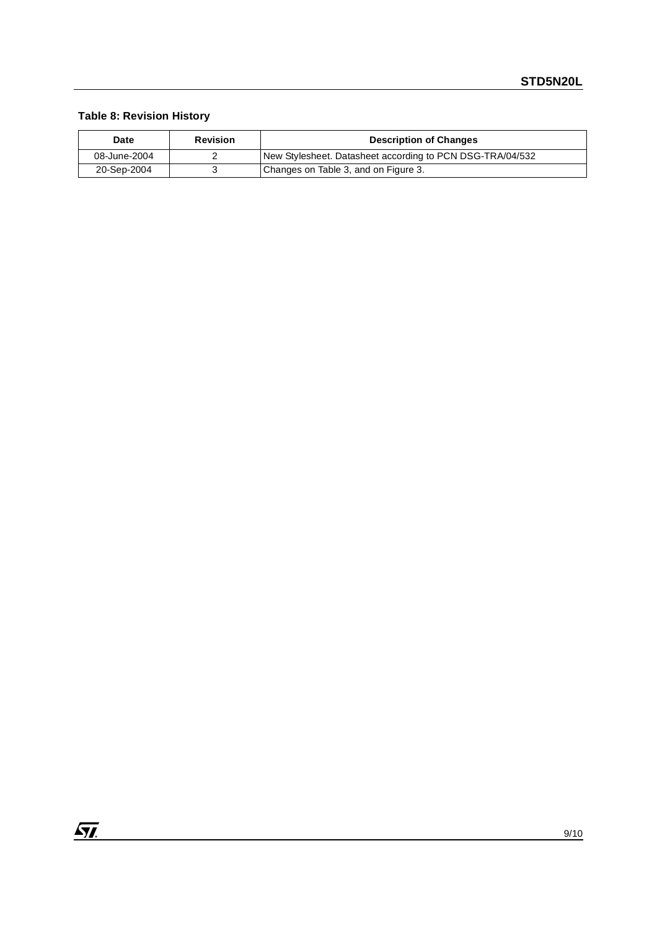## **Table 8: Revision History**

| Date         | <b>Revision</b> | <b>Description of Changes</b>                             |  |
|--------------|-----------------|-----------------------------------------------------------|--|
| 08-June-2004 |                 | New Stylesheet. Datasheet according to PCN DSG-TRA/04/532 |  |
| 20-Sep-2004  |                 | Changes on Table 3, and on Figure 3.                      |  |